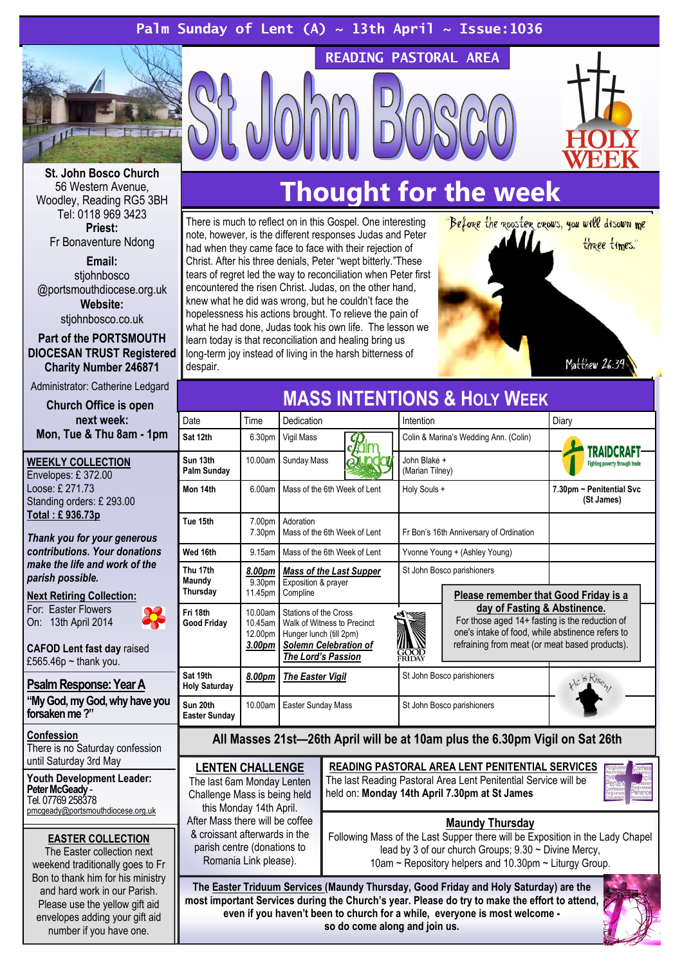## Palm Sunday of Lent (A)  $\sim$  13th April  $\sim$  Issue:1036



St. John Bosco Church 56 Western Avenue, Woodley, Reading RG5 3BH Tel: 0118 969 3423 Priest: Fr Bonaventure Ndong

Email: stiohnbosco @portsmouthdiocese.org.uk Website: stjohnbosco.co.uk

Part of the PORTSMOUTH DIOCESAN TRUST Registered Charity Number 246871

Administrator: Catherine Ledgard

Church Office is open next week: Mon, Tue & Thu 8am - 1pm

WEEKLY COLLECTION Envelopes: £ 372.00 Loose: £ 271.73 Standing orders: £ 293.00 Total : £ 936.73p

Thank you for your generous contributions. Your donations make the life and work of the parish possible.

Next Retiring Collection: For: Easter Flowers

On: 13th April 2014

CAFOD Lent fast day raised £565.46 $p \sim$ thank you.

Psalm Response: Year A

"My God, my God, why have you forsaken me ?"

#### Confession

There is no Saturday confession until Saturday 3rd May

Youth Development Leader: Peter McGeady - Tel. 07769 258378

pmcgeady@portsmouthdiocese.org.uk

EASTER COLLECTION

The Easter collection next weekend traditionally goes to Fr Bon to thank him for his ministry and hard work in our Parish. Please use the yellow gift aid envelopes adding your gift aid number if you have one.

## Thought for the week

READING PASTORAL AREA

There is much to reflect on in this Gospel. One interesting note, however, is the different responses Judas and Peter had when they came face to face with their rejection of Christ. After his three denials, Peter "wept bitterly."These tears of regret led the way to reconciliation when Peter first encountered the risen Christ. Judas, on the other hand, knew what he did was wrong, but he couldn't face the hopelessness his actions brought. To relieve the pain of what he had done, Judas took his own life. The lesson we learn today is that reconciliation and healing bring us long-term joy instead of living in the harsh bitterness of despair.



| <b>MASS INTENTIONS &amp; HOLY WEEK</b>                                       |                                         |                                                                                                                                       |                                                                                                                                                                                                                                                                                 |                                        |
|------------------------------------------------------------------------------|-----------------------------------------|---------------------------------------------------------------------------------------------------------------------------------------|---------------------------------------------------------------------------------------------------------------------------------------------------------------------------------------------------------------------------------------------------------------------------------|----------------------------------------|
| Date                                                                         | Time                                    | Dedication                                                                                                                            | Intention                                                                                                                                                                                                                                                                       | Diary                                  |
| Sat 12th                                                                     | 6.30pm                                  | <b>Vigil Mass</b>                                                                                                                     | Colin & Marina's Wedding Ann. (Colin)                                                                                                                                                                                                                                           | <b>RAIDCRAFT</b>                       |
| Sun 13th<br>Palm Sunday                                                      | 10.00am                                 | <b>Sunday Mass</b>                                                                                                                    | John Blake +<br>(Marian Tilney)                                                                                                                                                                                                                                                 | Fighting poverty through trade         |
| Mon 14th                                                                     | 6.00am                                  | Mass of the 6th Week of Lent                                                                                                          | Holy Souls +                                                                                                                                                                                                                                                                    | 7.30pm ~ Penitential Svc<br>(St James) |
| Tue 15th                                                                     | 7.00pm<br>7.30pm                        | Adoration<br>Mass of the 6th Week of Lent                                                                                             | Fr Bon's 16th Anniversary of Ordination                                                                                                                                                                                                                                         |                                        |
| Wed 16th                                                                     | 9.15am                                  | Mass of the 6th Week of Lent                                                                                                          | Yvonne Young + (Ashley Young)                                                                                                                                                                                                                                                   |                                        |
| Thu 17th<br>Maundy<br>Thursday                                               | 8.00pm<br>9.30pm<br>11.45pm             | <b>Mass of the Last Supper</b><br>Exposition & prayer<br>Compline                                                                     | St John Bosco parishioners<br>Please remember that Good Friday is a<br>day of Fasting & Abstinence.<br>For those aged $14+$ fasting is the reduction of<br>one's intake of food, while abstinence refers to<br>refraining from meat (or meat based products).<br>GOOD<br>FRIDAY |                                        |
| Fri 18th<br><b>Good Friday</b>                                               | 10.00am<br>10.45am<br>12.00pm<br>3.00pm | Stations of the Cross<br>Walk of Witness to Precinct<br>Hunger lunch (till 2pm)<br><b>Solemn Celebration of</b><br>The Lord's Passion |                                                                                                                                                                                                                                                                                 |                                        |
| Sat 19th<br><b>Holy Saturday</b>                                             | 8.00pm                                  | <b>The Easter Vigil</b>                                                                                                               | St John Bosco parishioners                                                                                                                                                                                                                                                      |                                        |
| Sun 20th<br><b>Easter Sunday</b>                                             | 10.00am                                 | <b>Easter Sunday Mass</b>                                                                                                             | St John Bosco parishioners                                                                                                                                                                                                                                                      |                                        |
| All Masses 21st-26th April will be at 10am plus the 6.30pm Vigil on Sat 26th |                                         |                                                                                                                                       |                                                                                                                                                                                                                                                                                 |                                        |

#### LENTEN CHALLENGE The last 6am Monday Lenten

Challenge Mass is being held this Monday 14th April. After Mass there will be coffee & croissant afterwards in the parish centre (donations to Romania Link please).

READING PASTORAL AREA LENT PENITENTIAL SERVICES The last Reading Pastoral Area Lent Penitential Service will be held on: Monday 14th April 7.30pm at St James



## Maundy Thursday

Following Mass of the Last Supper there will be Exposition in the Lady Chapel lead by 3 of our church Groups; 9.30 ~ Divine Mercy, 10am ~ Repository helpers and 10.30pm ~ Liturgy Group.

The Easter Triduum Services (Maundy Thursday, Good Friday and Holy Saturday) are the most important Services during the Church's year. Please do try to make the effort to attend, even if you haven't been to church for a while, everyone is most welcome so do come along and join us.